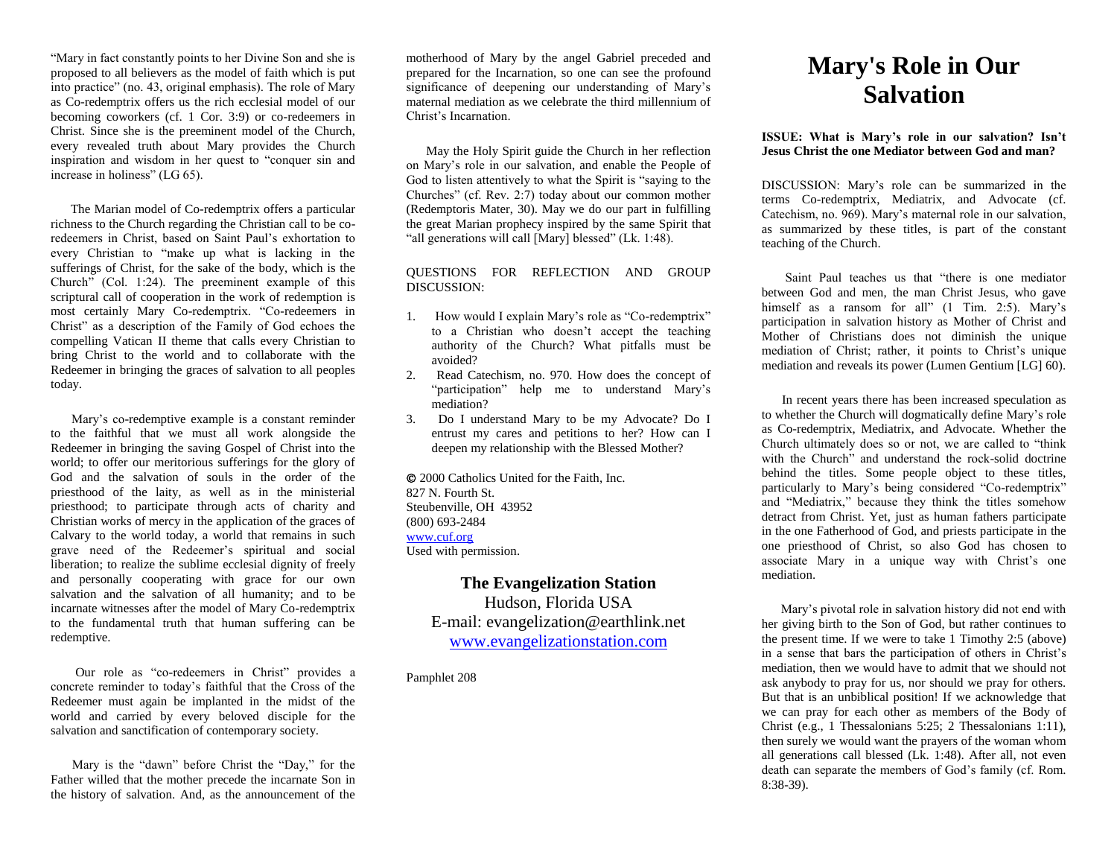"Mary in fact constantly points to her Divine Son and she is proposed to all believers as the model of faith which is put into practice" (no. 43, original emphasis). The role of Mary as Co-redemptrix offers us the rich ecclesial model of our becoming coworkers (cf. 1 Cor. 3:9) or co-redeemers in Christ. Since she is the preeminent model of the Church, every revealed truth about Mary provides the Church inspiration and wisdom in her quest to "conquer sin and increase in holiness" (LG 65).

 The Marian model of Co-redemptrix offers a particular richness to the Church regarding the Christian call to be coredeemers in Christ, based on Saint Paul's exhortation to every Christian to "make up what is lacking in the sufferings of Christ, for the sake of the body, which is the Church" (Col. 1:24). The preeminent example of this scriptural call of cooperation in the work of redemption is most certainly Mary Co-redemptrix. "Co-redeemers in Christ" as a description of the Family of God echoes the compelling Vatican II theme that calls every Christian to bring Christ to the world and to collaborate with the Redeemer in bringing the graces of salvation to all peoples today.

 Mary's co-redemptive example is a constant reminder to the faithful that we must all work alongside the Redeemer in bringing the saving Gospel of Christ into the world; to offer our meritorious sufferings for the glory of God and the salvation of souls in the order of the priesthood of the laity, as well as in the ministerial priesthood; to participate through acts of charity and Christian works of mercy in the application of the graces of Calvary to the world today, a world that remains in such grave need of the Redeemer's spiritual and social liberation; to realize the sublime ecclesial dignity of freely and personally cooperating with grace for our own salvation and the salvation of all humanity; and to be incarnate witnesses after the model of Mary Co-redemptrix to the fundamental truth that human suffering can be redemptive.

 Our role as "co-redeemers in Christ" provides a concrete reminder to today's faithful that the Cross of the Redeemer must again be implanted in the midst of the world and carried by every beloved disciple for the salvation and sanctification of contemporary society.

 Mary is the "dawn" before Christ the "Day," for the Father willed that the mother precede the incarnate Son in the history of salvation. And, as the announcement of the motherhood of Mary by the angel Gabriel preceded and prepared for the Incarnation, so one can see the profound significance of deepening our understanding of Mary's maternal mediation as we celebrate the third millennium of Christ's Incarnation.

 May the Holy Spirit guide the Church in her reflection on Mary's role in our salvation, and enable the People of God to listen attentively to what the Spirit is "saying to the Churches" (cf. Rev. 2:7) today about our common mother (Redemptoris Mater, 30). May we do our part in fulfilling the great Marian prophecy inspired by the same Spirit that "all generations will call [Mary] blessed" (Lk. 1:48).

QUESTIONS FOR REFLECTION AND GROUP DISCUSSION:

- 1. How would I explain Mary's role as "Co-redemptrix" to a Christian who doesn't accept the teaching authority of the Church? What pitfalls must be avoided?
- 2. Read Catechism, no. 970. How does the concept of "participation" help me to understand Mary's mediation?
- 3. Do I understand Mary to be my Advocate? Do I entrust my cares and petitions to her? How can I deepen my relationship with the Blessed Mother?

 2000 Catholics United for the Faith, Inc. 827 N. Fourth St. Steubenville, OH 43952 (800) 693-2484 [www.cuf.org](http://www.cuf.org/) Used with permission.

# **The Evangelization Station**

Hudson, Florida USA E-mail: evangelization@earthlink.net [www.evangelizationstation.com](http://www.pjpiisoe.org/)

Pamphlet 208

# **Mary's Role in Our Salvation**

#### **ISSUE: What is Mary's role in our salvation? Isn't Jesus Christ the one Mediator between God and man?**

DISCUSSION: Mary's role can be summarized in the terms Co-redemptrix, Mediatrix, and Advocate (cf. Catechism, no. 969). Mary's maternal role in our salvation, as summarized by these titles, is part of the constant teaching of the Church.

 Saint Paul teaches us that "there is one mediator between God and men, the man Christ Jesus, who gave himself as a ransom for all" (1 Tim. 2:5). Mary's participation in salvation history as Mother of Christ and Mother of Christians does not diminish the unique mediation of Christ; rather, it points to Christ's unique mediation and reveals its power (Lumen Gentium [LG] 60).

 In recent years there has been increased speculation as to whether the Church will dogmatically define Mary's role as Co-redemptrix, Mediatrix, and Advocate. Whether the Church ultimately does so or not, we are called to "think with the Church" and understand the rock-solid doctrine behind the titles. Some people object to these titles, particularly to Mary's being considered "Co-redemptrix" and "Mediatrix," because they think the titles somehow detract from Christ. Yet, just as human fathers participate in the one Fatherhood of God, and priests participate in the one priesthood of Christ, so also God has chosen to associate Mary in a unique way with Christ's one mediation.

 Mary's pivotal role in salvation history did not end with her giving birth to the Son of God, but rather continues to the present time. If we were to take 1 Timothy 2:5 (above) in a sense that bars the participation of others in Christ's mediation, then we would have to admit that we should not ask anybody to pray for us, nor should we pray for others. But that is an unbiblical position! If we acknowledge that we can pray for each other as members of the Body of Christ (e.g., 1 Thessalonians 5:25; 2 Thessalonians 1:11), then surely we would want the prayers of the woman whom all generations call blessed (Lk. 1:48). After all, not even death can separate the members of God's family (cf. Rom. 8:38-39).